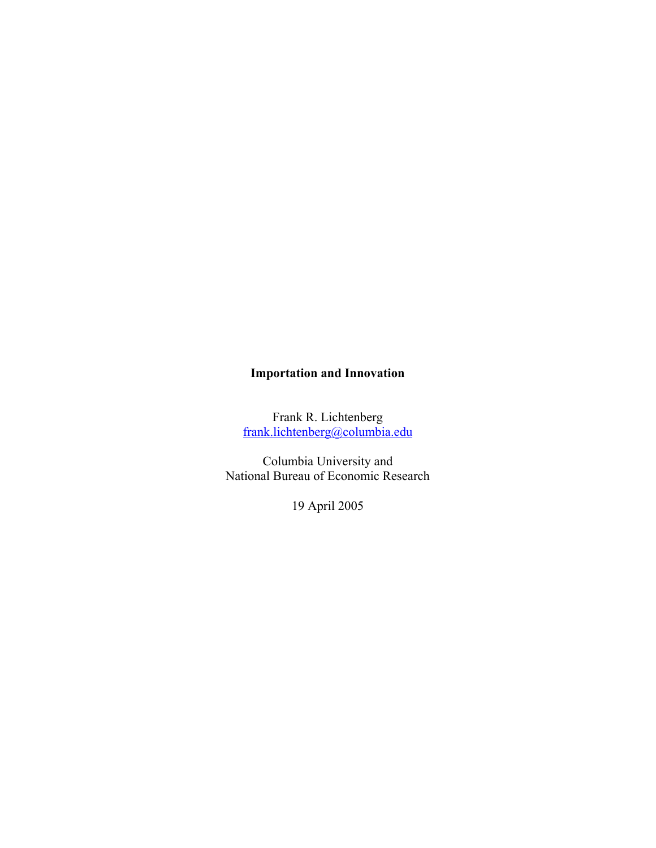# **Importation and Innovation**

Frank R. Lichtenberg [frank.lichtenberg@columbia.edu](mailto:Frank.lichtenberg@columbia.edu)

Columbia University and National Bureau of Economic Research

19 April 2005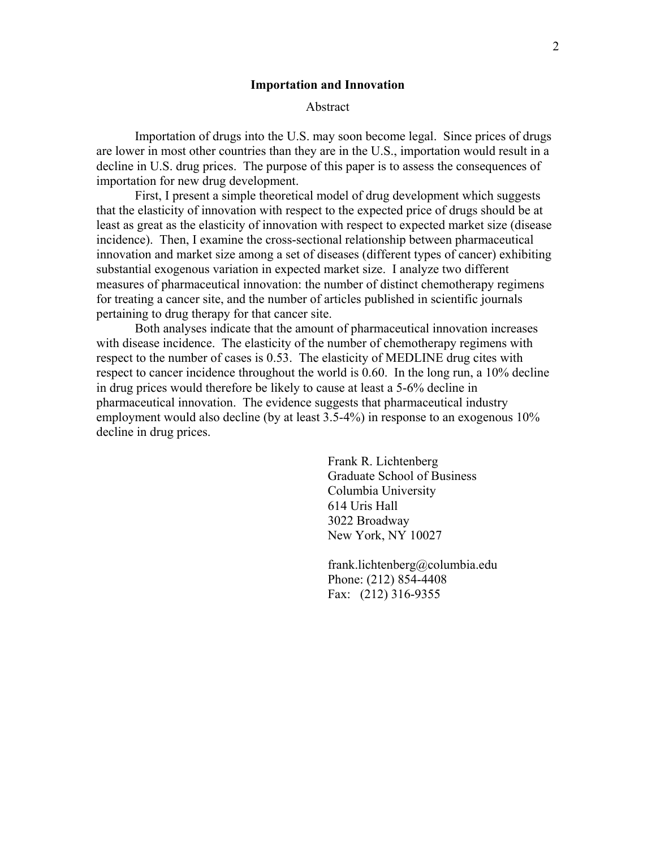Abstract

Importation of drugs into the U.S. may soon become legal. Since prices of drugs are lower in most other countries than they are in the U.S., importation would result in a decline in U.S. drug prices. The purpose of this paper is to assess the consequences of importation for new drug development.

First, I present a simple theoretical model of drug development which suggests that the elasticity of innovation with respect to the expected price of drugs should be at least as great as the elasticity of innovation with respect to expected market size (disease incidence). Then, I examine the cross-sectional relationship between pharmaceutical innovation and market size among a set of diseases (different types of cancer) exhibiting substantial exogenous variation in expected market size. I analyze two different measures of pharmaceutical innovation: the number of distinct chemotherapy regimens for treating a cancer site, and the number of articles published in scientific journals pertaining to drug therapy for that cancer site.

Both analyses indicate that the amount of pharmaceutical innovation increases with disease incidence. The elasticity of the number of chemotherapy regimens with respect to the number of cases is 0.53. The elasticity of MEDLINE drug cites with respect to cancer incidence throughout the world is 0.60. In the long run, a 10% decline in drug prices would therefore be likely to cause at least a 5-6% decline in pharmaceutical innovation. The evidence suggests that pharmaceutical industry employment would also decline (by at least 3.5-4%) in response to an exogenous 10% decline in drug prices.

> Frank R. Lichtenberg Graduate School of Business Columbia University 614 Uris Hall 3022 Broadway New York, NY 10027

frank.lichtenberg@columbia.edu Phone: (212) 854-4408 Fax: (212) 316-9355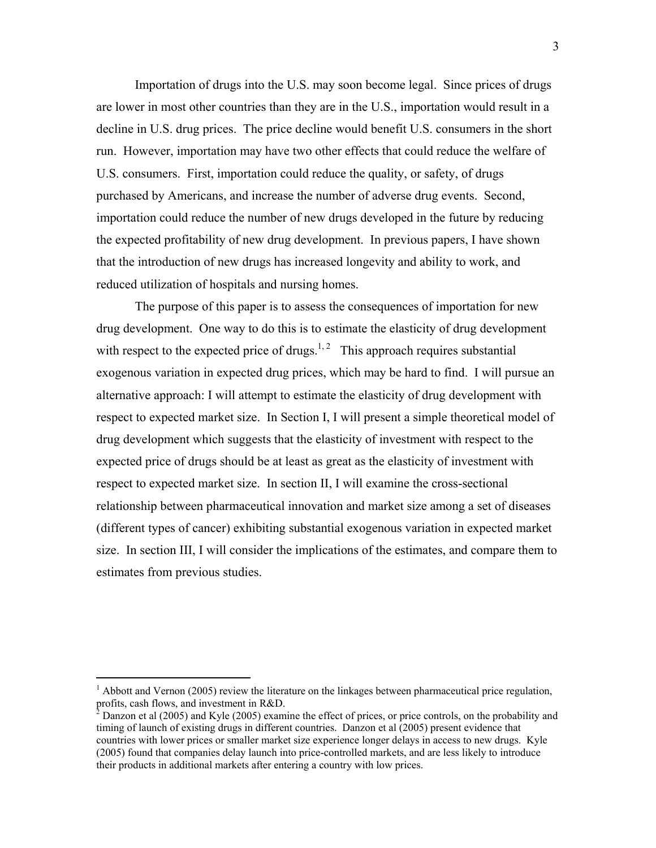Importation of drugs into the U.S. may soon become legal. Since prices of drugs are lower in most other countries than they are in the U.S., importation would result in a decline in U.S. drug prices. The price decline would benefit U.S. consumers in the short run. However, importation may have two other effects that could reduce the welfare of U.S. consumers. First, importation could reduce the quality, or safety, of drugs purchased by Americans, and increase the number of adverse drug events. Second, importation could reduce the number of new drugs developed in the future by reducing the expected profitability of new drug development. In previous papers, I have shown that the introduction of new drugs has increased longevity and ability to work, and reduced utilization of hospitals and nursing homes.

The purpose of this paper is to assess the consequences of importation for new drug development. One way to do this is to estimate the elasticity of drug development with respect to the expected price of drugs.<sup>[1,](#page-2-0) 2</sup> This approach requires substantial exogenous variation in expected drug prices, which may be hard to find. I will pursue an alternative approach: I will attempt to estimate the elasticity of drug development with respect to expected market size. In Section I, I will present a simple theoretical model of drug development which suggests that the elasticity of investment with respect to the expected price of drugs should be at least as great as the elasticity of investment with respect to expected market size. In section II, I will examine the cross-sectional relationship between pharmaceutical innovation and market size among a set of diseases (different types of cancer) exhibiting substantial exogenous variation in expected market size. In section III, I will consider the implications of the estimates, and compare them to estimates from previous studies.

l

<span id="page-2-0"></span> $1$  Abbott and Vernon (2005) review the literature on the linkages between pharmaceutical price regulation, profits, cash flows, and investment in R&D.

<span id="page-2-1"></span> $2^2$  Danzon et al (2005) and Kyle (2005) examine the effect of prices, or price controls, on the probability and timing of launch of existing drugs in different countries. Danzon et al (2005) present evidence that countries with lower prices or smaller market size experience longer delays in access to new drugs. Kyle (2005) found that companies delay launch into price-controlled markets, and are less likely to introduce their products in additional markets after entering a country with low prices.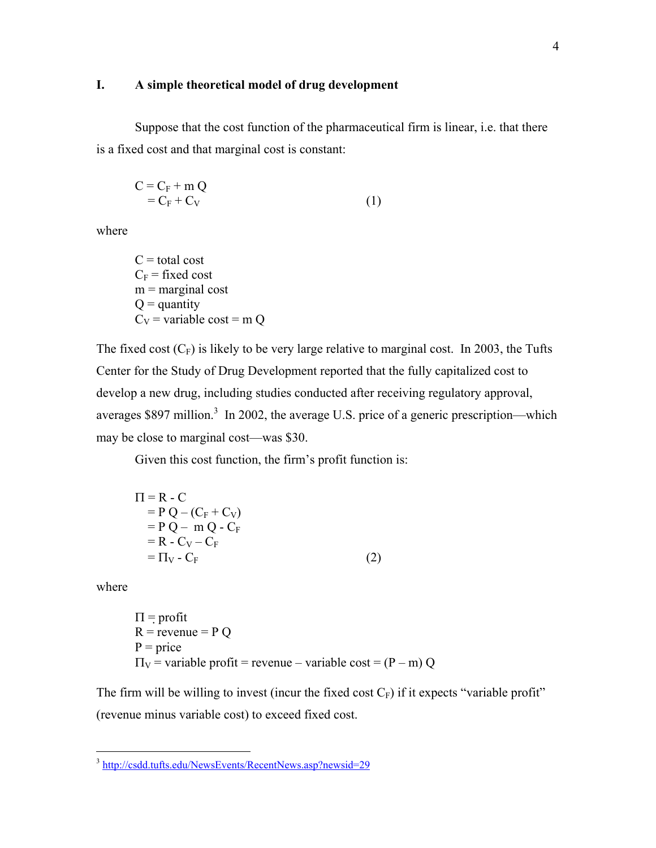### **I. A simple theoretical model of drug development**

Suppose that the cost function of the pharmaceutical firm is linear, i.e. that there is a fixed cost and that marginal cost is constant:

$$
C = CF + m Q
$$
  
= C<sub>F</sub> + C<sub>V</sub> (1)

where

 $C =$ total cost  $C_F$  = fixed cost  $m =$  marginal cost  $Q =$  quantity  $C_V$  = variable cost = m Q

The fixed cost  $(C_F)$  is likely to be very large relative to marginal cost. In 2003, the Tufts Center for the Study of Drug Development reported that the fully capitalized cost to develop a new drug, including studies conducted after receiving regulatory approval, averages \$897 million.<sup>[3](#page-3-0)</sup> In 2002, the average U.S. price of a generic prescription—which may be close to marginal cost—was \$30.

Given this cost function, the firm's profit function is:

 $\Pi = R - C$  $= P Q - (C_F + C_V)$  $=$  P Q – m Q -  $C_F$  $= R - C_V - C_F$  $= \Pi_V - C_F$  (2)

where

l

 $\Pi$  = profit  $R =$  revenue =  $PQ$  $P = price$  $\Pi_V$  = variable profit = revenue – variable cost = (P – m) Q

The firm will be willing to invest (incur the fixed cost  $C_F$ ) if it expects "variable profit" (revenue minus variable cost) to exceed fixed cost.

<span id="page-3-0"></span><sup>3</sup> <http://csdd.tufts.edu/NewsEvents/RecentNews.asp?newsid=29>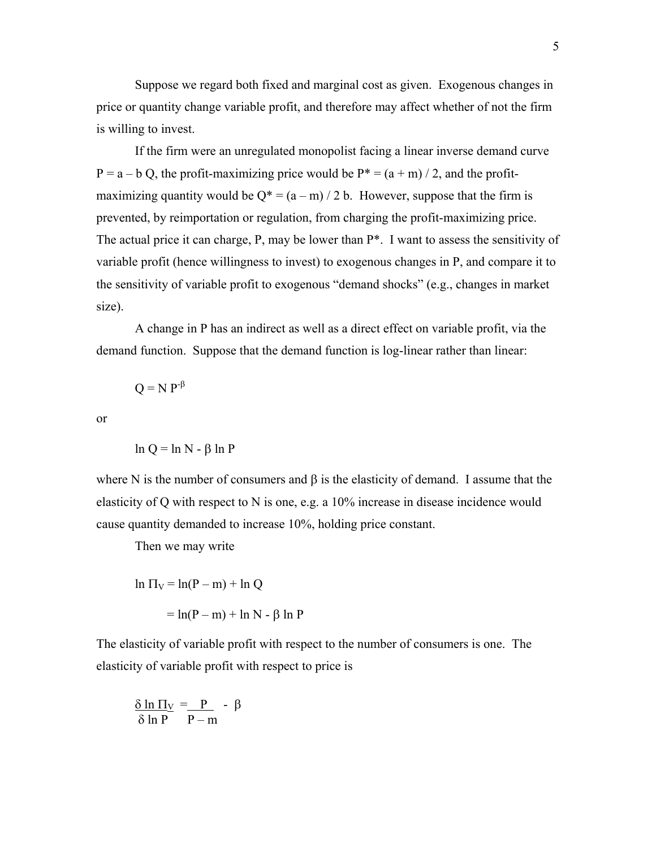Suppose we regard both fixed and marginal cost as given. Exogenous changes in price or quantity change variable profit, and therefore may affect whether of not the firm is willing to invest.

If the firm were an unregulated monopolist facing a linear inverse demand curve  $P = a - b Q$ , the profit-maximizing price would be  $P^* = (a + m)/2$ , and the profitmaximizing quantity would be  $Q^* = (a - m)/2$  b. However, suppose that the firm is prevented, by reimportation or regulation, from charging the profit-maximizing price. The actual price it can charge, P, may be lower than P\*. I want to assess the sensitivity of variable profit (hence willingness to invest) to exogenous changes in P, and compare it to the sensitivity of variable profit to exogenous "demand shocks" (e.g., changes in market size).

A change in P has an indirect as well as a direct effect on variable profit, via the demand function. Suppose that the demand function is log-linear rather than linear:

$$
Q = N P^{-\beta}
$$

or

$$
\ln Q = \ln N - \beta \ln P
$$

where N is the number of consumers and  $\beta$  is the elasticity of demand. I assume that the elasticity of Q with respect to N is one, e.g. a 10% increase in disease incidence would cause quantity demanded to increase 10%, holding price constant.

Then we may write

$$
\ln \Pi_V = \ln(P - m) + \ln Q
$$

$$
= \ln(P - m) + \ln N - \beta \ln P
$$

The elasticity of variable profit with respect to the number of consumers is one. The elasticity of variable profit with respect to price is

$$
\frac{\delta \ln \Pi_V}{\delta \ln P} = \frac{P}{P-m} - \beta
$$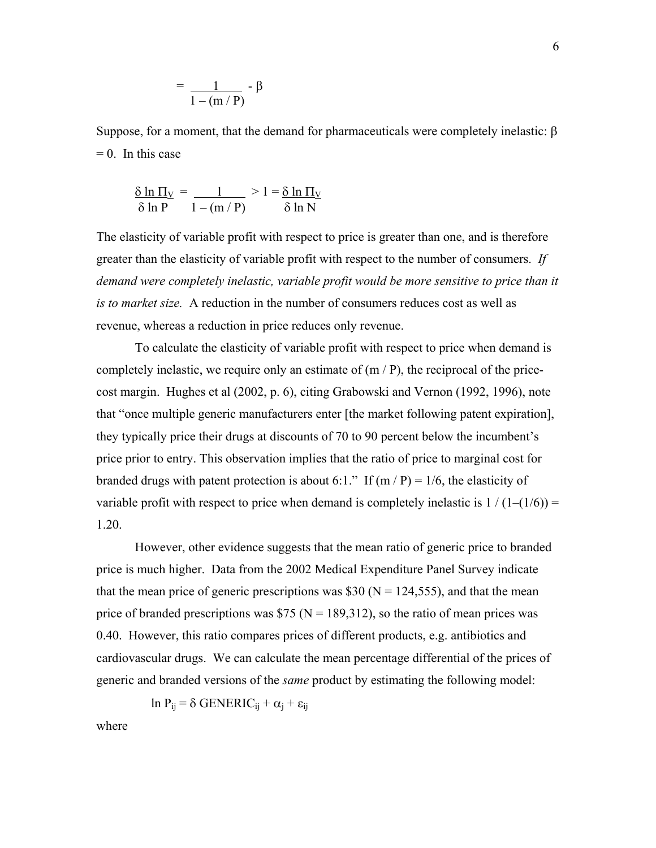$$
= \frac{1}{1 - (m/P)} - \beta
$$

Suppose, for a moment, that the demand for pharmaceuticals were completely inelastic: β  $= 0$ . In this case

$$
\frac{\delta \ln \Pi_V}{\delta \ln P} = \frac{1}{1 - (m/P)} > 1 = \frac{\delta \ln \Pi_V}{\delta \ln N}
$$

The elasticity of variable profit with respect to price is greater than one, and is therefore greater than the elasticity of variable profit with respect to the number of consumers. *If*  demand were completely inelastic, variable profit would be more sensitive to price than it *is to market size.* A reduction in the number of consumers reduces cost as well as revenue, whereas a reduction in price reduces only revenue.

To calculate the elasticity of variable profit with respect to price when demand is completely inelastic, we require only an estimate of  $(m / P)$ , the reciprocal of the pricecost margin. Hughes et al (2002, p. 6), citing Grabowski and Vernon (1992, 1996), note that "once multiple generic manufacturers enter [the market following patent expiration], they typically price their drugs at discounts of 70 to 90 percent below the incumbent's price prior to entry. This observation implies that the ratio of price to marginal cost for branded drugs with patent protection is about 6:1." If  $(m / P) = 1/6$ , the elasticity of variable profit with respect to price when demand is completely inelastic is  $1/(1-(1/6)) =$ 1.20.

However, other evidence suggests that the mean ratio of generic price to branded price is much higher. Data from the 2002 Medical Expenditure Panel Survey indicate that the mean price of generic prescriptions was \$30 ( $N = 124,555$ ), and that the mean price of branded prescriptions was \$75 ( $N = 189,312$ ), so the ratio of mean prices was 0.40. However, this ratio compares prices of different products, e.g. antibiotics and cardiovascular drugs. We can calculate the mean percentage differential of the prices of generic and branded versions of the *same* product by estimating the following model:

ln P<sub>ij</sub> = δ GENERIC<sub>ij</sub> +  $\alpha$ <sub>i</sub> +  $\varepsilon$ <sub>ij</sub>

where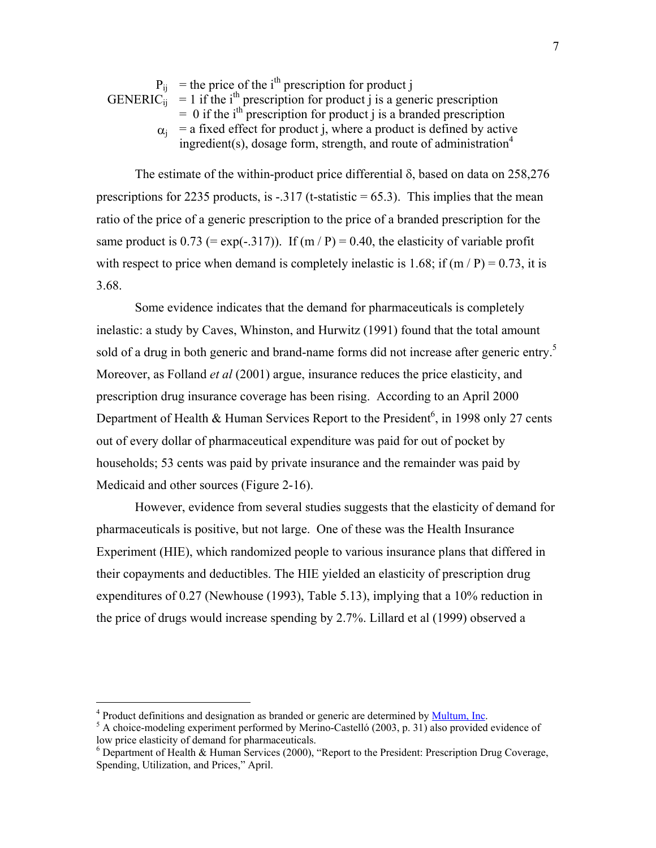$P_{ij}$  = the price of the i<sup>th</sup> prescription for product j GENERIC<sub>ij</sub> = 1 if the i<sup>th</sup> prescription for product j is a generic prescription  $= 0$  if the i<sup>th</sup> prescription for product i is a branded prescription  $\alpha_i$  = a fixed effect for product j, where a product is defined by active ingredient(s), dosage form, strength, and route of administration<sup>[4](#page-6-0)</sup>

The estimate of the within-product price differential δ, based on data on 258,276 prescriptions for 2235 products, is  $-.317$  (t-statistic = 65.3). This implies that the mean ratio of the price of a generic prescription to the price of a branded prescription for the same product is  $0.73$  (= exp(-.317)). If (m / P) = 0.40, the elasticity of variable profit with respect to price when demand is completely inelastic is 1.68; if  $(m / P) = 0.73$ , it is 3.68.

Some evidence indicates that the demand for pharmaceuticals is completely inelastic: a study by Caves, Whinston, and Hurwitz (1991) found that the total amount sold of a drug in both generic and brand-name forms did not increase after generic entry.<sup>[5](#page-6-1)</sup> Moreover, as Folland *et al* (2001) argue, insurance reduces the price elasticity, and prescription drug insurance coverage has been rising. According to an April 2000 Department of Health & Human Services Report to the President<sup>[6](#page-6-2)</sup>, in 1998 only 27 cents out of every dollar of pharmaceutical expenditure was paid for out of pocket by households; 53 cents was paid by private insurance and the remainder was paid by Medicaid and other sources (Figure 2-16).

However, evidence from several studies suggests that the elasticity of demand for pharmaceuticals is positive, but not large. One of these was the Health Insurance Experiment (HIE), which randomized people to various insurance plans that differed in their copayments and deductibles. The HIE yielded an elasticity of prescription drug expenditures of 0.27 (Newhouse (1993), Table 5.13), implying that a 10% reduction in the price of drugs would increase spending by 2.7%. Lillard et al (1999) observed a

<span id="page-6-0"></span> $^{4}$  Product definitions and designation as branded or generic are determined by  $\frac{\text{Multum, Inc.}}{\text{1}}$ 

<span id="page-6-1"></span><sup>&</sup>lt;sup>5</sup> A choice-modeling experiment performed by Merino-Castelló (2003, p. 31) also provided evidence of low price elasticity of demand for pharmaceuticals.

<span id="page-6-2"></span> $6$  Department of Health & Human Services (2000), "Report to the President: Prescription Drug Coverage, Spending, Utilization, and Prices," April.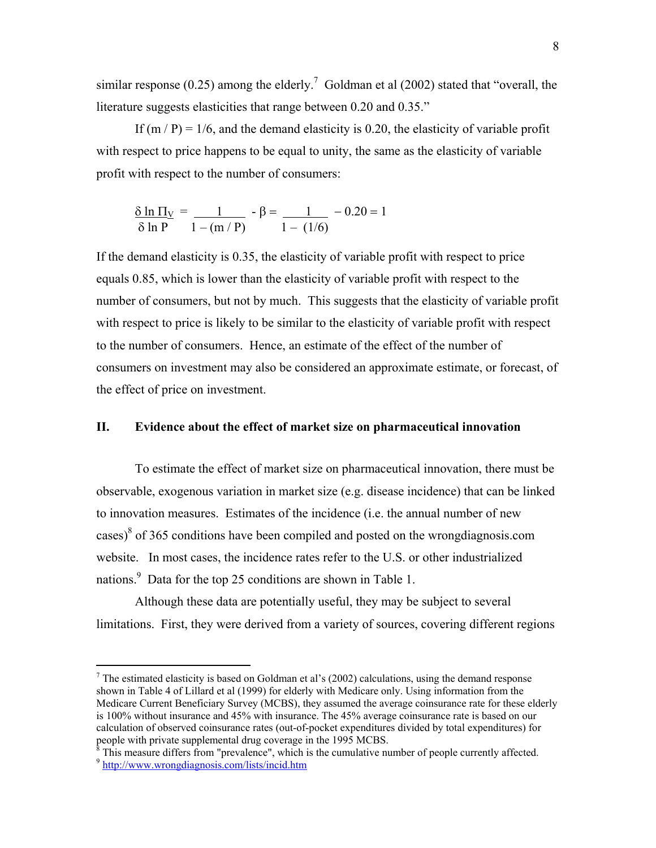similar response (0.25) among the elderly.<sup>[7](#page-7-0)</sup> Goldman et al (2002) stated that "overall, the literature suggests elasticities that range between 0.20 and 0.35."

If  $(m / P) = 1/6$ , and the demand elasticity is 0.20, the elasticity of variable profit with respect to price happens to be equal to unity, the same as the elasticity of variable profit with respect to the number of consumers:

$$
\frac{\delta \ln \Pi_V}{\delta \ln P} = \frac{1}{1 - (m/P)} - \beta = \frac{1}{1 - (1/6)} - 0.20 = 1
$$

If the demand elasticity is 0.35, the elasticity of variable profit with respect to price equals 0.85, which is lower than the elasticity of variable profit with respect to the number of consumers, but not by much. This suggests that the elasticity of variable profit with respect to price is likely to be similar to the elasticity of variable profit with respect to the number of consumers. Hence, an estimate of the effect of the number of consumers on investment may also be considered an approximate estimate, or forecast, of the effect of price on investment.

### **II. Evidence about the effect of market size on pharmaceutical innovation**

To estimate the effect of market size on pharmaceutical innovation, there must be observable, exogenous variation in market size (e.g. disease incidence) that can be linked to innovation measures. Estimates of the incidence (i.e. the annual number of new cases) $8$  of 365 conditions have been compiled and posted on the wrong diagnosis.com website. In most cases, the incidence rates refer to the U.S. or other industrialized nations.<sup>[9](#page-7-2)</sup> Data for the top 25 conditions are shown in Table 1.

Although these data are potentially useful, they may be subject to several limitations. First, they were derived from a variety of sources, covering different regions

<span id="page-7-0"></span><sup>&</sup>lt;sup>7</sup> The estimated elasticity is based on Goldman et al's (2002) calculations, using the demand response shown in Table 4 of Lillard et al (1999) for elderly with Medicare only. Using information from the Medicare Current Beneficiary Survey (MCBS), they assumed the average coinsurance rate for these elderly is 100% without insurance and 45% with insurance. The 45% average coinsurance rate is based on our calculation of observed coinsurance rates (out-of-pocket expenditures divided by total expenditures) for people with private supplemental drug coverage in the 1995 MCBS.

<span id="page-7-2"></span><span id="page-7-1"></span> $\delta$  This measure differs from "prevalence", which is the cumulative number of people currently affected. <sup>9</sup> <http://www.wrongdiagnosis.com/lists/incid.htm>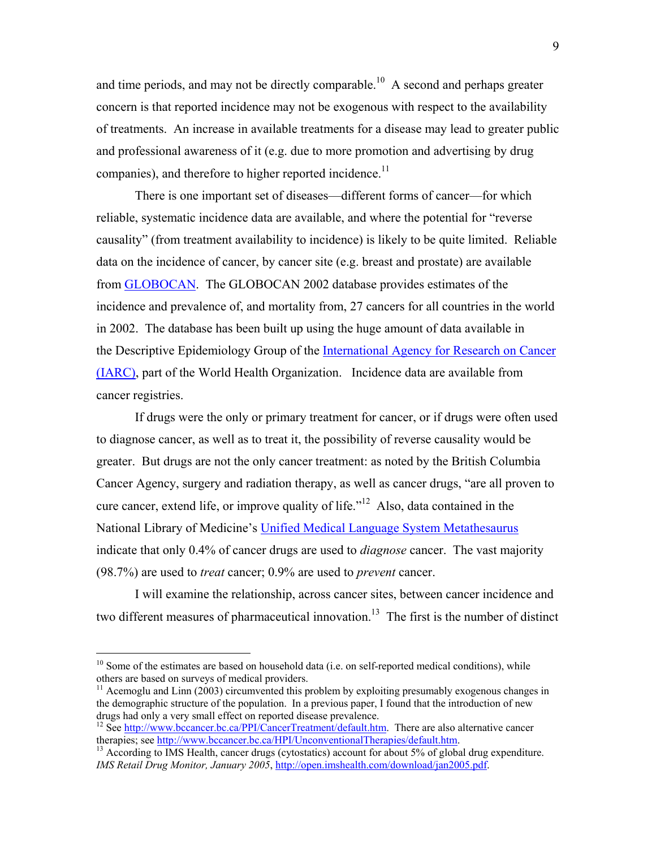and time periods, and may not be directly comparable.<sup>10</sup> A second and perhaps greater concern is that reported incidence may not be exogenous with respect to the availability of treatments. An increase in available treatments for a disease may lead to greater public and professional awareness of it (e.g. due to more promotion and advertising by drug companies), and therefore to higher reported incidence.<sup>11</sup>

There is one important set of diseases—different forms of cancer—for which reliable, systematic incidence data are available, and where the potential for "reverse causality" (from treatment availability to incidence) is likely to be quite limited. Reliable data on the incidence of cancer, by cancer site (e.g. breast and prostate) are available from [GLOBOCAN.](http://www-depdb.iarc.fr/globocan/GLOBOframe.htm) The GLOBOCAN 2002 database provides estimates of the incidence and prevalence of, and mortality from, 27 cancers for all countries in the world in 2002. The database has been built up using the huge amount of data available in the Descriptive Epidemiology Group of the International Agency for Research on Cancer [\(IARC\),](http://www.iarc.fr/) part of the World Health Organization. Incidence data are available from cancer registries.

If drugs were the only or primary treatment for cancer, or if drugs were often used to diagnose cancer, as well as to treat it, the possibility of reverse causality would be greater. But drugs are not the only cancer treatment: as noted by the British Columbia Cancer Agency, surgery and radiation therapy, as well as cancer drugs, "are all proven to cure cancer, extend life, or improve quality of life."[12](#page-8-2) Also, data contained in the National Library of Medicine's [Unified Medical Language System Metathesaurus](http://www.nlm.nih.gov/pubs/factsheets/umlsmeta.html) indicate that only 0.4% of cancer drugs are used to *diagnose* cancer. The vast majority (98.7%) are used to *treat* cancer; 0.9% are used to *prevent* cancer.

 I will examine the relationship, across cancer sites, between cancer incidence and two different measures of pharmaceutical innovation.<sup>13</sup> The first is the number of distinct

<span id="page-8-0"></span> $10$  Some of the estimates are based on household data (i.e. on self-reported medical conditions), while others are based on surveys of medical providers.

<span id="page-8-1"></span> $11$  Acemoglu and Linn (2003) circumvented this problem by exploiting presumably exogenous changes in the demographic structure of the population. In a previous paper, I found that the introduction of new drugs had only a very small effect on reported disease prevalence.

<span id="page-8-2"></span><sup>&</sup>lt;sup>12</sup> See [http://www.bccancer.bc.ca/PPI/CancerTreatment/default.htm.](http://www.bccancer.bc.ca/PPI/CancerTreatment/default.htm) There are also alternative cancer therapies; see http://www.bccancer.bc.ca/HPI/UnconventionalTherapies/default.htm.

<span id="page-8-3"></span> $13$  According to IMS Health, cancer drugs (cytostatics) account for about 5% of global drug expenditure. *IMS Retail Drug Monitor, January 2005*, [http://open.imshealth.com/download/jan2005.pdf.](http://open.imshealth.com/download/jan2005.pdf)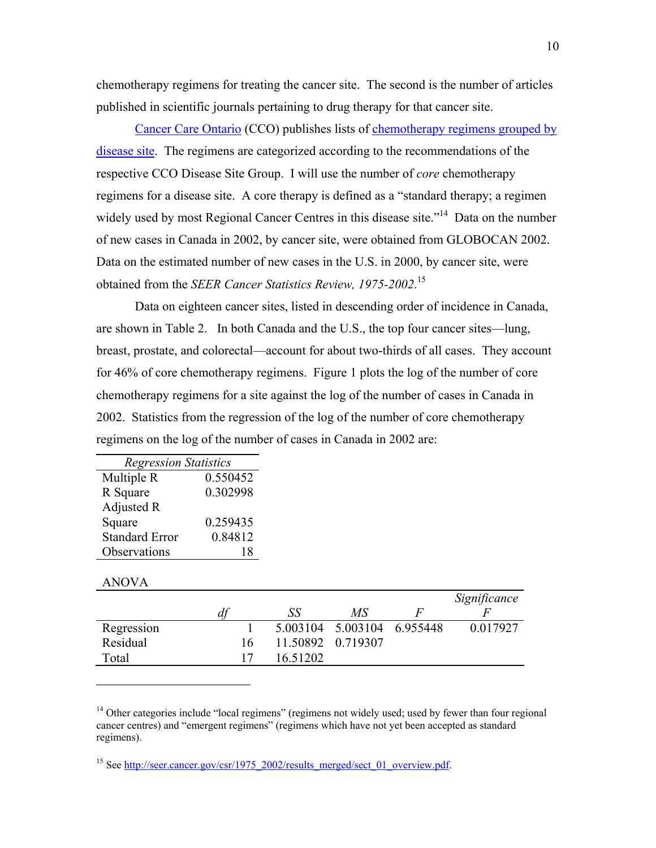chemotherapy regimens for treating the cancer site. The second is the number of articles published in scientific journals pertaining to drug therapy for that cancer site.

[Cancer Care Ontario](http://www.cancercare.on.ca/default.htm) (CCO) publishes lists of chemotherapy regimens grouped by [disease site](http://www.cancercare.on.ca/access_152.htm). The regimens are categorized according to the recommendations of the respective CCO Disease Site Group. I will use the number of *core* chemotherapy regimens for a disease site. A core therapy is defined as a "standard therapy; a regimen widely used by most Regional Cancer Centres in this disease site."<sup>14</sup> Data on the number of new cases in Canada in 2002, by cancer site, were obtained from GLOBOCAN 2002. Data on the estimated number of new cases in the U.S. in 2000, by cancer site, were obtained from the *SEER Cancer Statistics Review, 1975-2002*. [15](#page-9-1) 

 Data on eighteen cancer sites, listed in descending order of incidence in Canada, are shown in Table 2. In both Canada and the U.S., the top four cancer sites—lung, breast, prostate, and colorectal—account for about two-thirds of all cases. They account for 46% of core chemotherapy regimens. Figure 1 plots the log of the number of core chemotherapy regimens for a site against the log of the number of cases in Canada in 2002. Statistics from the regression of the log of the number of core chemotherapy regimens on the log of the number of cases in Canada in 2002 are:

| <b>Regression Statistics</b> |          |  |  |  |  |
|------------------------------|----------|--|--|--|--|
| Multiple R                   | 0.550452 |  |  |  |  |
| R Square                     | 0.302998 |  |  |  |  |
| Adjusted R                   |          |  |  |  |  |
| Square                       | 0.259435 |  |  |  |  |
| <b>Standard Error</b>        | 0.84812  |  |  |  |  |
| Observations                 | 18       |  |  |  |  |

ANOVA

|            |    |          |                            | Significance |
|------------|----|----------|----------------------------|--------------|
|            |    | SS       | МS                         |              |
| Regression |    |          | 5.003104 5.003104 6.955448 | 0.017927     |
| Residual   | 16 |          | 11.50892 0.719307          |              |
| Total      |    | 16.51202 |                            |              |
|            |    |          |                            |              |

<span id="page-9-0"></span><sup>&</sup>lt;sup>14</sup> Other categories include "local regimens" (regimens not widely used; used by fewer than four regional cancer centres) and "emergent regimens" (regimens which have not yet been accepted as standard regimens).

<span id="page-9-1"></span><sup>&</sup>lt;sup>15</sup> See [http://seer.cancer.gov/csr/1975\\_2002/results\\_merged/sect\\_01\\_overview.pdf](http://seer.cancer.gov/csr/1975_2002/results_merged/sect_01_overview.pdf).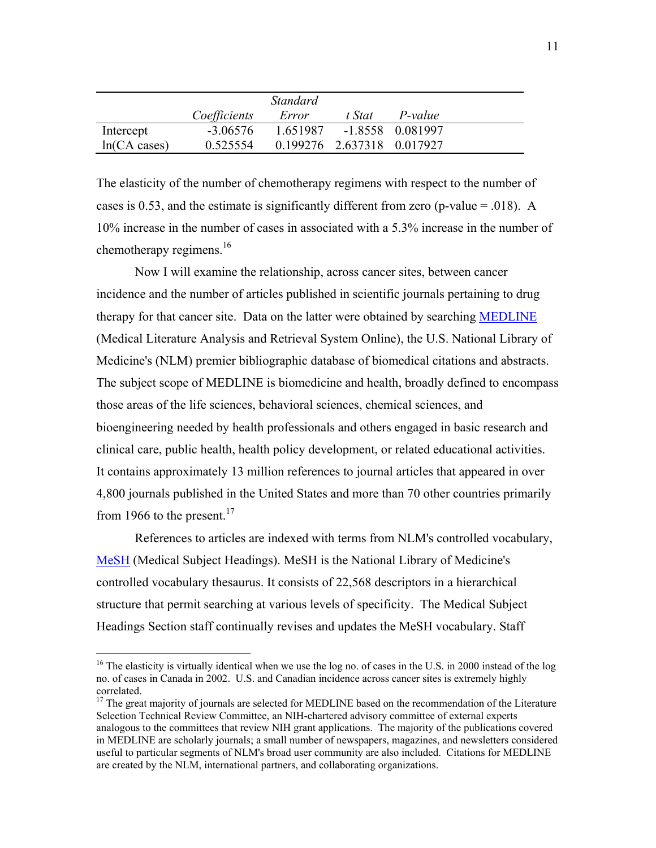|                 |              | <b>Standard</b> |                            |                    |  |
|-----------------|--------------|-----------------|----------------------------|--------------------|--|
|                 | Coefficients | Error           | t Stat                     | P-value            |  |
| Intercept       | $-3.06576$   | 1.651987        |                            | $-1.8558$ 0.081997 |  |
| $ln(CA \cases)$ | 0.525554     |                 | 0.199276 2.637318 0.017927 |                    |  |

The elasticity of the number of chemotherapy regimens with respect to the number of cases is 0.53, and the estimate is significantly different from zero (p-value  $= .018$ ). A 10% increase in the number of cases in associated with a 5.3% increase in the number of chemotherapy regimens.<sup>[16](#page-10-0)</sup>

Now I will examine the relationship, across cancer sites, between cancer incidence and the number of articles published in scientific journals pertaining to drug therapy for that cancer site. Data on the latter were obtained by searching [MEDLINE](http://www.nlm.nih.gov/pubs/factsheets/medline.html) (Medical Literature Analysis and Retrieval System Online), the U.S. National Library of Medicine's (NLM) premier bibliographic database of biomedical citations and abstracts. The subject scope of MEDLINE is biomedicine and health, broadly defined to encompass those areas of the life sciences, behavioral sciences, chemical sciences, and bioengineering needed by health professionals and others engaged in basic research and clinical care, public health, health policy development, or related educational activities. It contains approximately 13 million references to journal articles that appeared in over 4,800 journals published in the United States and more than 70 other countries primarily from 1966 to the present. $17$ 

References to articles are indexed with terms from NLM's controlled vocabulary, [MeSH](http://www.nlm.nih.gov/mesh) (Medical Subject Headings). MeSH is the National Library of Medicine's controlled vocabulary thesaurus. It consists of 22,568 descriptors in a hierarchical structure that permit searching at various levels of specificity. The Medical Subject Headings Section staff continually revises and updates the MeSH vocabulary. Staff

<span id="page-10-0"></span><sup>&</sup>lt;sup>16</sup> The elasticity is virtually identical when we use the log no. of cases in the U.S. in 2000 instead of the log no. of cases in Canada in 2002. U.S. and Canadian incidence across cancer sites is extremely highly correlated.

<span id="page-10-1"></span><sup>&</sup>lt;sup>17</sup> The great majority of journals are selected for MEDLINE based on the recommendation of the Literature Selection Technical Review Committee, an NIH-chartered advisory committee of external experts analogous to the committees that review NIH grant applications. The majority of the publications covered in MEDLINE are scholarly journals; a small number of newspapers, magazines, and newsletters considered useful to particular segments of NLM's broad user community are also included. Citations for MEDLINE are created by the NLM, international partners, and collaborating organizations.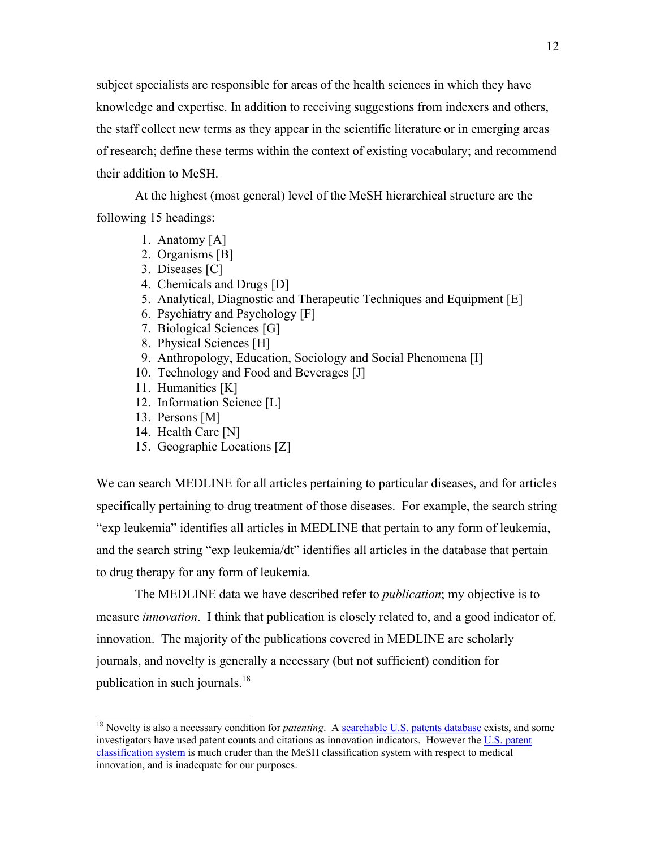subject specialists are responsible for areas of the health sciences in which they have knowledge and expertise. In addition to receiving suggestions from indexers and others, the staff collect new terms as they appear in the scientific literature or in emerging areas of research; define these terms within the context of existing vocabulary; and recommend their addition to MeSH.

At the highest (most general) level of the MeSH hierarchical structure are the following 15 headings:

- 1. Anatomy [A]
- 2. Organisms [B]
- 3. Diseases [C]
- 4. Chemicals and Drugs [D]
- 5. Analytical, Diagnostic and Therapeutic Techniques and Equipment [E]
- 6. Psychiatry and Psychology [F]
- 7. Biological Sciences [G]
- 8. Physical Sciences [H]
- 9. Anthropology, Education, Sociology and Social Phenomena [I]
- 10. Technology and Food and Beverages [J]
- 11. Humanities [K]
- 12. Information Science [L]
- 13. Persons [M]

l

- 14. Health Care [N]
- 15. Geographic Locations [Z]

We can search MEDLINE for all articles pertaining to particular diseases, and for articles specifically pertaining to drug treatment of those diseases. For example, the search string "exp leukemia" identifies all articles in MEDLINE that pertain to any form of leukemia, and the search string "exp leukemia/dt" identifies all articles in the database that pertain to drug therapy for any form of leukemia.

The MEDLINE data we have described refer to *publication*; my objective is to measure *innovation*. I think that publication is closely related to, and a good indicator of, innovation. The majority of the publications covered in MEDLINE are scholarly journals, and novelty is generally a necessary (but not sufficient) condition for publication in such journals.<sup>18</sup>

<span id="page-11-0"></span><sup>18</sup> Novelty is also a necessary condition for *patenting*. A [searchable U.S. patents database](http://patft.uspto.gov/netahtml/search-adv.htm) exists, and some investigators have used patent counts and citations as innovation indicators. However the [U.S. patent](http://www.uspto.gov/web/patents/classification/selectnumwithtitle.htm)  [classification system](http://www.uspto.gov/web/patents/classification/selectnumwithtitle.htm) is much cruder than the MeSH classification system with respect to medical innovation, and is inadequate for our purposes.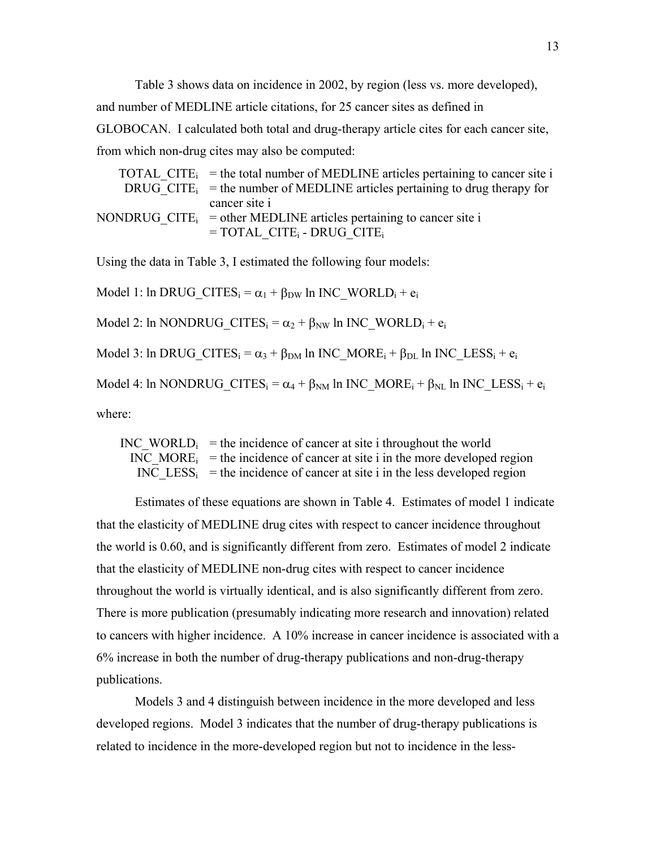Table 3 shows data on incidence in 2002, by region (less vs. more developed), and number of MEDLINE article citations, for 25 cancer sites as defined in GLOBOCAN. I calculated both total and drug-therapy article cites for each cancer site, from which non-drug cites may also be computed:

| TOTAL CITE <sub>i</sub> = the total number of MEDLINE articles pertaining to cancer site i |
|--------------------------------------------------------------------------------------------|
| DRUG CITE <sub>i</sub> = the number of MEDLINE articles pertaining to drug therapy for     |
| cancer site i                                                                              |
| NONDRUG CITE <sub>i</sub> = other MEDLINE articles pertaining to cancer site i             |
| $=$ TOTAL CITE <sub>i</sub> - DRUG CITE <sub>i</sub>                                       |

Using the data in Table 3, I estimated the following four models:

Model 1: ln DRUG CITES<sub>i</sub> =  $\alpha_1$  +  $\beta_{DW}$  ln INC\_WORLD<sub>i</sub> + e<sub>i</sub> Model 2: ln NONDRUG CITES<sub>i</sub> =  $\alpha_2$  +  $\beta_{NW}$  ln INC\_WORLD<sub>i</sub> + e<sub>i</sub> Model 3: ln DRUG CITES<sub>i</sub> =  $\alpha_3$  +  $\beta_{DM}$  ln INC\_MORE<sub>i</sub> +  $\beta_{DL}$  ln INC\_LESS<sub>i</sub> + e<sub>i</sub> Model 4: ln NONDRUG CITES<sub>i</sub> =  $\alpha_4$  +  $\beta_{NM}$  ln INC MORE<sub>i</sub> +  $\beta_{NL}$  ln INC LESS<sub>i</sub> + e<sub>i</sub> where:

INC WORLD<sub>i</sub> = the incidence of cancer at site i throughout the world INC MORE<sub>i</sub> = the incidence of cancer at site i in the more developed region INC LESS<sub>i</sub> = the incidence of cancer at site i in the less developed region

 Estimates of these equations are shown in Table 4. Estimates of model 1 indicate that the elasticity of MEDLINE drug cites with respect to cancer incidence throughout the world is 0.60, and is significantly different from zero. Estimates of model 2 indicate that the elasticity of MEDLINE non-drug cites with respect to cancer incidence throughout the world is virtually identical, and is also significantly different from zero. There is more publication (presumably indicating more research and innovation) related to cancers with higher incidence. A 10% increase in cancer incidence is associated with a 6% increase in both the number of drug-therapy publications and non-drug-therapy publications.

 Models 3 and 4 distinguish between incidence in the more developed and less developed regions. Model 3 indicates that the number of drug-therapy publications is related to incidence in the more-developed region but not to incidence in the less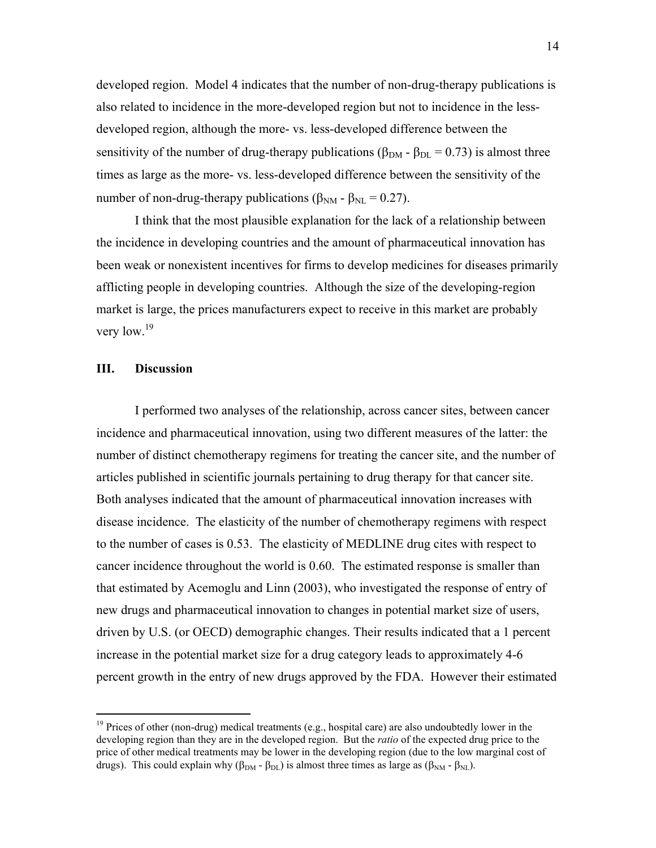developed region. Model 4 indicates that the number of non-drug-therapy publications is also related to incidence in the more-developed region but not to incidence in the lessdeveloped region, although the more- vs. less-developed difference between the sensitivity of the number of drug-therapy publications ( $\beta_{DM}$  -  $\beta_{DL}$  = 0.73) is almost three times as large as the more- vs. less-developed difference between the sensitivity of the number of non-drug-therapy publications ( $\beta_{NM}$  -  $\beta_{NL}$  = 0.27).

I think that the most plausible explanation for the lack of a relationship between the incidence in developing countries and the amount of pharmaceutical innovation has been weak or nonexistent incentives for firms to develop medicines for diseases primarily afflicting people in developing countries. Although the size of the developing-region market is large, the prices manufacturers expect to receive in this market are probably very  $low.<sup>19</sup>$ 

#### **III. Discussion**

l

I performed two analyses of the relationship, across cancer sites, between cancer incidence and pharmaceutical innovation, using two different measures of the latter: the number of distinct chemotherapy regimens for treating the cancer site, and the number of articles published in scientific journals pertaining to drug therapy for that cancer site. Both analyses indicated that the amount of pharmaceutical innovation increases with disease incidence. The elasticity of the number of chemotherapy regimens with respect to the number of cases is 0.53. The elasticity of MEDLINE drug cites with respect to cancer incidence throughout the world is 0.60. The estimated response is smaller than that estimated by Acemoglu and Linn (2003), who investigated the response of entry of new drugs and pharmaceutical innovation to changes in potential market size of users, driven by U.S. (or OECD) demographic changes. Their results indicated that a 1 percent increase in the potential market size for a drug category leads to approximately 4-6 percent growth in the entry of new drugs approved by the FDA. However their estimated

<span id="page-13-0"></span> $19$  Prices of other (non-drug) medical treatments (e.g., hospital care) are also undoubtedly lower in the developing region than they are in the developed region. But the *ratio* of the expected drug price to the price of other medical treatments may be lower in the developing region (due to the low marginal cost of drugs). This could explain why ( $β<sub>DM</sub> - β<sub>DL</sub>$ ) is almost three times as large as ( $β<sub>NM</sub> - β<sub>NL</sub>$ ).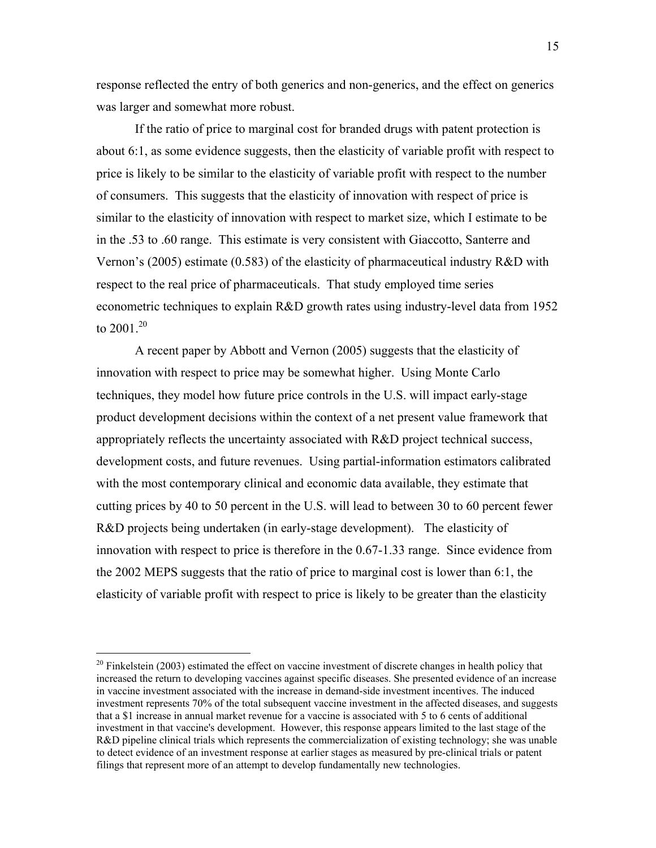response reflected the entry of both generics and non-generics, and the effect on generics was larger and somewhat more robust.

If the ratio of price to marginal cost for branded drugs with patent protection is about 6:1, as some evidence suggests, then the elasticity of variable profit with respect to price is likely to be similar to the elasticity of variable profit with respect to the number of consumers. This suggests that the elasticity of innovation with respect of price is similar to the elasticity of innovation with respect to market size, which I estimate to be in the .53 to .60 range. This estimate is very consistent with Giaccotto, Santerre and Vernon's (2005) estimate (0.583) of the elasticity of pharmaceutical industry R&D with respect to the real price of pharmaceuticals. That study employed time series econometric techniques to explain R&D growth rates using industry-level data from 1952 to 2001.<sup>20</sup>

A recent paper by Abbott and Vernon (2005) suggests that the elasticity of innovation with respect to price may be somewhat higher. Using Monte Carlo techniques, they model how future price controls in the U.S. will impact early-stage product development decisions within the context of a net present value framework that appropriately reflects the uncertainty associated with R&D project technical success, development costs, and future revenues. Using partial-information estimators calibrated with the most contemporary clinical and economic data available, they estimate that cutting prices by 40 to 50 percent in the U.S. will lead to between 30 to 60 percent fewer R&D projects being undertaken (in early-stage development). The elasticity of innovation with respect to price is therefore in the 0.67-1.33 range. Since evidence from the 2002 MEPS suggests that the ratio of price to marginal cost is lower than 6:1, the elasticity of variable profit with respect to price is likely to be greater than the elasticity

<span id="page-14-0"></span> $20$  Finkelstein (2003) estimated the effect on vaccine investment of discrete changes in health policy that increased the return to developing vaccines against specific diseases. She presented evidence of an increase in vaccine investment associated with the increase in demand-side investment incentives. The induced investment represents 70% of the total subsequent vaccine investment in the affected diseases, and suggests that a \$1 increase in annual market revenue for a vaccine is associated with 5 to 6 cents of additional investment in that vaccine's development. However, this response appears limited to the last stage of the R&D pipeline clinical trials which represents the commercialization of existing technology; she was unable to detect evidence of an investment response at earlier stages as measured by pre-clinical trials or patent filings that represent more of an attempt to develop fundamentally new technologies.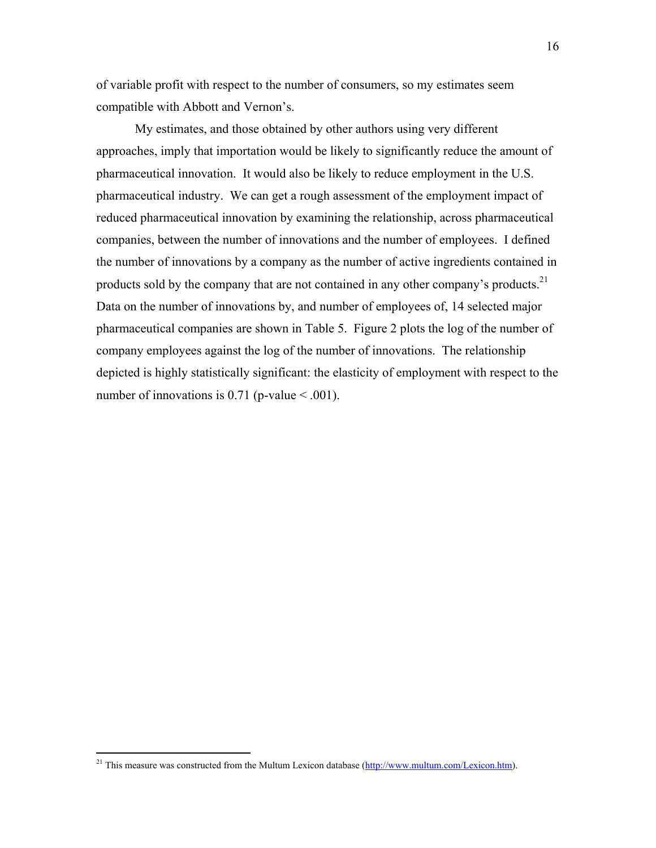of variable profit with respect to the number of consumers, so my estimates seem compatible with Abbott and Vernon's.

My estimates, and those obtained by other authors using very different approaches, imply that importation would be likely to significantly reduce the amount of pharmaceutical innovation. It would also be likely to reduce employment in the U.S. pharmaceutical industry. We can get a rough assessment of the employment impact of reduced pharmaceutical innovation by examining the relationship, across pharmaceutical companies, between the number of innovations and the number of employees. I defined the number of innovations by a company as the number of active ingredients contained in products sold by the company that are not contained in any other company's products.<sup>21</sup> Data on the number of innovations by, and number of employees of, 14 selected major pharmaceutical companies are shown in Table 5. Figure 2 plots the log of the number of company employees against the log of the number of innovations. The relationship depicted is highly statistically significant: the elasticity of employment with respect to the number of innovations is  $0.71$  (p-value  $\leq .001$ ).

l

<span id="page-15-0"></span><sup>&</sup>lt;sup>21</sup> This measure was constructed from the Multum Lexicon database  $(\frac{http://www.multum.com/Lexicon.htm}{http://www.multum.com/Lexicon.htm})$ .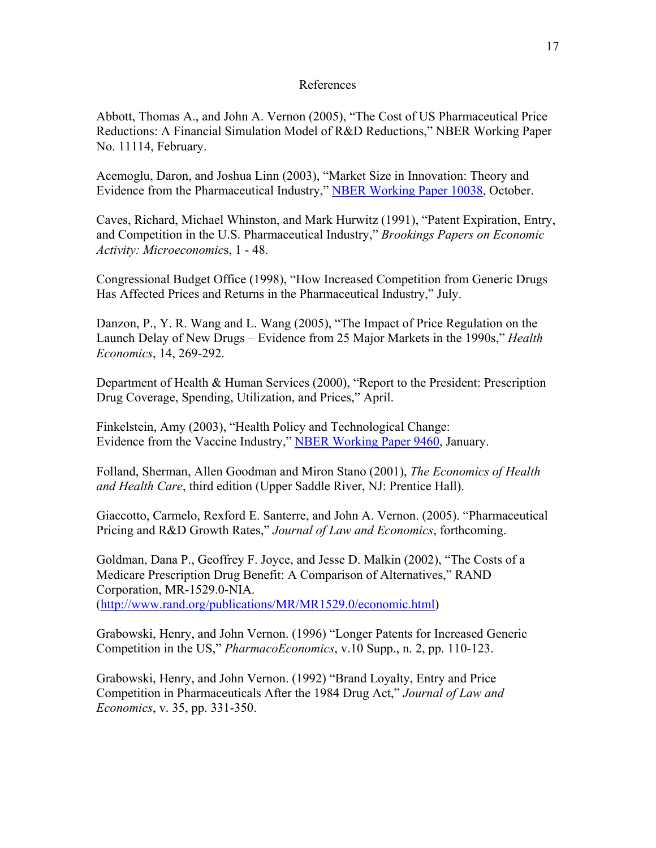### References

Abbott, Thomas A., and John A. Vernon (2005), "The Cost of US Pharmaceutical Price Reductions: A Financial Simulation Model of R&D Reductions," NBER Working Paper No. 11114, February.

Acemoglu, Daron, and Joshua Linn (2003), "Market Size in Innovation: Theory and Evidence from the Pharmaceutical Industry," [NBER Working Paper 10038,](http://papers.nber.org/papers/W10038) October.

Caves, Richard, Michael Whinston, and Mark Hurwitz (1991), "Patent Expiration, Entry, and Competition in the U.S. Pharmaceutical Industry," *Brookings Papers on Economic Activity: Microeconomic*s, 1 - 48.

Congressional Budget Office (1998), "How Increased Competition from Generic Drugs Has Affected Prices and Returns in the Pharmaceutical Industry," July.

Danzon, P., Y. R. Wang and L. Wang (2005), "The Impact of Price Regulation on the Launch Delay of New Drugs – Evidence from 25 Major Markets in the 1990s," *Health Economics*, 14, 269-292.

Department of Health & Human Services (2000), "Report to the President: Prescription Drug Coverage, Spending, Utilization, and Prices," April.

Finkelstein, Amy (2003), "Health Policy and Technological Change: Evidence from the Vaccine Industry," [NBER Working Paper 9460](http://papers.nber.org/papers/w9460.pdf), January.

Folland, Sherman, Allen Goodman and Miron Stano (2001), *The Economics of Health and Health Care*, third edition (Upper Saddle River, NJ: Prentice Hall).

Giaccotto, Carmelo, Rexford E. Santerre, and John A. Vernon. (2005). "Pharmaceutical Pricing and R&D Growth Rates," *Journal of Law and Economics*, forthcoming.

Goldman, Dana P., Geoffrey F. Joyce, and Jesse D. Malkin (2002), "The Costs of a Medicare Prescription Drug Benefit: A Comparison of Alternatives," RAND Corporation, MR-1529.0-NIA. ([http://www.rand.org/publications/MR/MR1529.0/economic.html\)](http://www.rand.org/publications/MR/MR1529.0/economic.html)

Grabowski, Henry, and John Vernon. (1996) "Longer Patents for Increased Generic Competition in the US," *PharmacoEconomics*, v.10 Supp., n. 2, pp. 110-123.

Grabowski, Henry, and John Vernon. (1992) "Brand Loyalty, Entry and Price Competition in Pharmaceuticals After the 1984 Drug Act," *Journal of Law and Economics*, v. 35, pp. 331-350.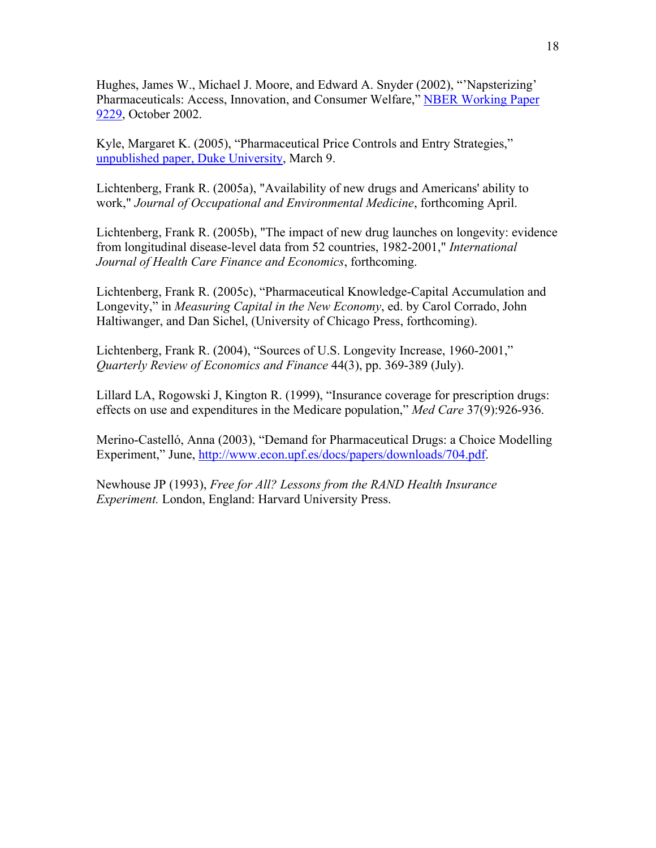Hughes, James W., Michael J. Moore, and Edward A. Snyder (2002), "'Napsterizing' Pharmaceuticals: Access, Innovation, and Consumer Welfare," [NBER Working Paper](http://papers.nber.org/papers/w9229.pdf)  [9229](http://papers.nber.org/papers/w9229.pdf), October 2002.

Kyle, Margaret K. (2005), "Pharmaceutical Price Controls and Entry Strategies," [unpublished paper, Duke University](http://www.duke.edu/~mkyle/Price_controls_and_entry.pdf), March 9.

Lichtenberg, Frank R. (2005a), "Availability of new drugs and Americans' ability to work," *Journal of Occupational and Environmental Medicine*, forthcoming April.

Lichtenberg, Frank R. (2005b), "The impact of new drug launches on longevity: evidence from longitudinal disease-level data from 52 countries, 1982-2001," *International Journal of Health Care Finance and Economics*, forthcoming.

Lichtenberg, Frank R. (2005c), "Pharmaceutical Knowledge-Capital Accumulation and Longevity," in *Measuring Capital in the New Economy*, ed. by Carol Corrado, John Haltiwanger, and Dan Sichel, (University of Chicago Press, forthcoming).

Lichtenberg, Frank R. (2004), "Sources of U.S. Longevity Increase, 1960-2001," *Quarterly Review of Economics and Finance* 44(3), pp. 369-389 (July).

Lillard LA, Rogowski J, Kington R. (1999), "Insurance coverage for prescription drugs: effects on use and expenditures in the Medicare population," *Med Care* 37(9):926-936.

Merino-Castelló, Anna (2003), "Demand for Pharmaceutical Drugs: a Choice Modelling Experiment," June,<http://www.econ.upf.es/docs/papers/downloads/704.pdf>.

Newhouse JP (1993), *Free for All? Lessons from the RAND Health Insurance Experiment.* London, England: Harvard University Press.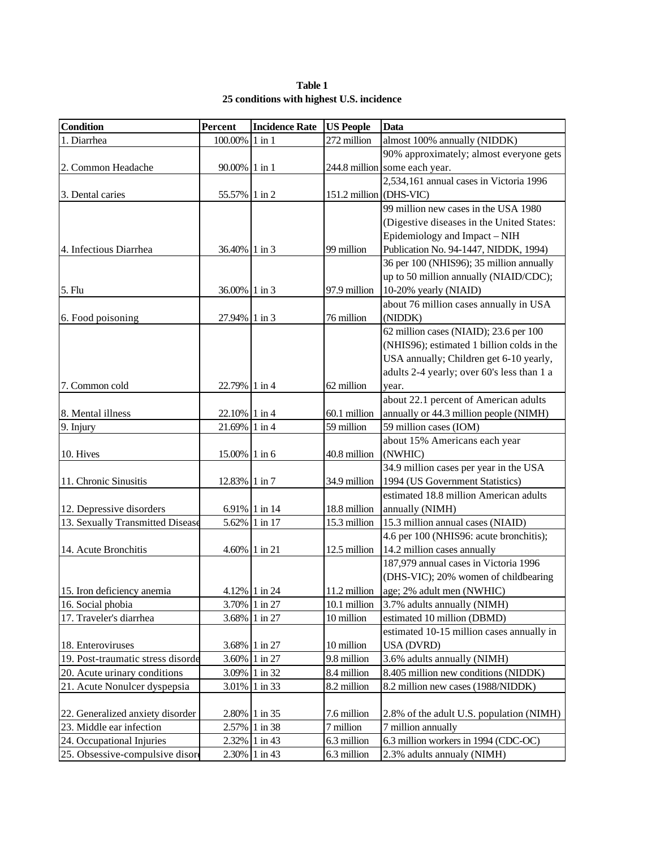| <b>Condition</b>                  | Percent       | <b>Incidence Rate</b> | <b>US People</b>        | <b>Data</b>                                                            |
|-----------------------------------|---------------|-----------------------|-------------------------|------------------------------------------------------------------------|
| 1. Diarrhea                       | 100.00%       | $1$ in $1$            | 272 million             | almost 100% annually (NIDDK)                                           |
|                                   |               |                       |                         | 90% approximately; almost everyone gets                                |
| 2. Common Headache                | 90.00% 1 in 1 |                       |                         | 244.8 million some each year.                                          |
|                                   |               |                       |                         | 2,534,161 annual cases in Victoria 1996                                |
| 3. Dental caries                  | 55.57%        | $1$ in $2$            | 151.2 million (DHS-VIC) |                                                                        |
|                                   |               |                       |                         | 99 million new cases in the USA 1980                                   |
|                                   |               |                       |                         | (Digestive diseases in the United States:                              |
|                                   |               |                       |                         | Epidemiology and Impact - NIH                                          |
| 4. Infectious Diarrhea            | 36.40% 1 in 3 |                       | 99 million              | Publication No. 94-1447, NIDDK, 1994)                                  |
|                                   |               |                       |                         | 36 per 100 (NHIS96); 35 million annually                               |
|                                   |               |                       |                         | up to 50 million annually (NIAID/CDC);                                 |
| 5. Flu                            | 36.00%        | $1$ in $3$            | 97.9 million            | 10-20% yearly (NIAID)                                                  |
|                                   |               |                       |                         | about 76 million cases annually in USA                                 |
| 6. Food poisoning                 | 27.94%        | $1$ in $3$            | 76 million              | (NIDDK)                                                                |
|                                   |               |                       |                         | 62 million cases (NIAID); 23.6 per 100                                 |
|                                   |               |                       |                         | (NHIS96); estimated 1 billion colds in the                             |
|                                   |               |                       |                         | USA annually; Children get 6-10 yearly,                                |
|                                   |               |                       |                         | adults 2-4 yearly; over 60's less than 1 a                             |
| 7. Common cold                    | 22.79% 1 in 4 |                       | 62 million              | year.                                                                  |
|                                   |               |                       |                         | about 22.1 percent of American adults                                  |
| 8. Mental illness                 | 22.10%        | $1$ in $4$            | 60.1 million            | annually or 44.3 million people (NIMH)                                 |
| 9. Injury                         | 21.69%        | $1$ in $4$            | 59 million              | 59 million cases (IOM)                                                 |
|                                   |               |                       |                         | about 15% Americans each year                                          |
| 10. Hives                         | 15.00%        | $1$ in 6              | 40.8 million            | (NWHIC)                                                                |
|                                   |               |                       |                         | 34.9 million cases per year in the USA                                 |
| 11. Chronic Sinusitis             | 12.83% 1 in 7 |                       | 34.9 million            | 1994 (US Government Statistics)                                        |
|                                   |               |                       |                         | estimated 18.8 million American adults                                 |
| 12. Depressive disorders          |               | 6.91% 1 in 14         | 18.8 million            | annually (NIMH)                                                        |
| 13. Sexually Transmitted Disease  | 5.62%         | 1 in 17               | 15.3 million            | 15.3 million annual cases (NIAID)                                      |
| 14. Acute Bronchitis              |               | 4.60% 1 in 21         | 12.5 million            | 4.6 per 100 (NHIS96: acute bronchitis);<br>14.2 million cases annually |
|                                   |               |                       |                         | 187,979 annual cases in Victoria 1996                                  |
|                                   |               |                       |                         | (DHS-VIC); 20% women of childbearing                                   |
| 15. Iron deficiency anemia        |               | 4.12% 1 in 24         | 11.2 million            | age; 2% adult men (NWHIC)                                              |
| 16. Social phobia                 |               | 3.70% 1 in 27         | 10.1 million            | 3.7% adults annually (NIMH)                                            |
| 17. Traveler's diarrhea           | 3.68%         | 1 in 27               | 10 million              | estimated 10 million (DBMD)                                            |
|                                   |               |                       |                         | estimated 10-15 million cases annually in                              |
| 18. Enteroviruses                 |               | 3.68% 1 in 27         | 10 million              | <b>USA (DVRD)</b>                                                      |
| 19. Post-traumatic stress disorde | 3.60%         | 1 in 27               | 9.8 million             | 3.6% adults annually (NIMH)                                            |
| 20. Acute urinary conditions      | 3.09%         | 1 in 32               | 8.4 million             | 8.405 million new conditions (NIDDK)                                   |
| 21. Acute Nonulcer dyspepsia      | 3.01%         | 1 in 33               | 8.2 million             | 8.2 million new cases (1988/NIDDK)                                     |
|                                   |               |                       |                         |                                                                        |
| 22. Generalized anxiety disorder  | 2.80%         | 1 in 35               | 7.6 million             | 2.8% of the adult U.S. population (NIMH)                               |
| 23. Middle ear infection          | 2.57%         | 1 in 38               | 7 million               | 7 million annually                                                     |
| 24. Occupational Injuries         | 2.32%         | 1 in 43               | 6.3 million             | 6.3 million workers in 1994 (CDC-OC)                                   |
| 25. Obsessive-compulsive disord   | 2.30%         | 1 in 43               | 6.3 million             | 2.3% adults annualy (NIMH)                                             |

**Table 1 25 conditions with highest U.S. incidence**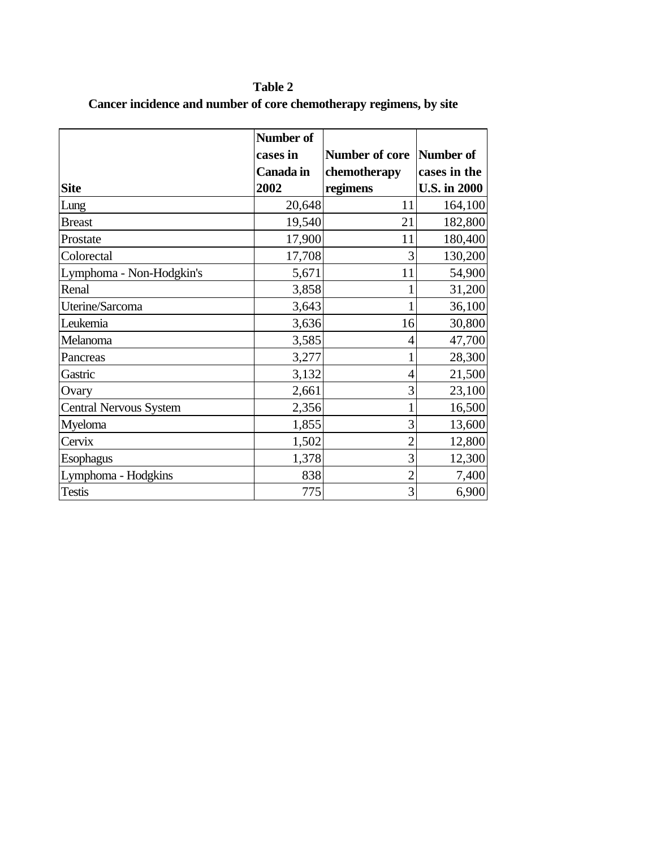## **Table 2**

|                               | Number of |                |                     |
|-------------------------------|-----------|----------------|---------------------|
|                               | cases in  | Number of core | Number of           |
|                               | Canada in | chemotherapy   | cases in the        |
| <b>Site</b>                   | 2002      | regimens       | <b>U.S. in 2000</b> |
| Lung                          | 20,648    | 11             | 164,100             |
| <b>Breast</b>                 | 19,540    | 21             | 182,800             |
| Prostate                      | 17,900    | 11             | 180,400             |
| Colorectal                    | 17,708    | 3              | 130,200             |
| Lymphoma - Non-Hodgkin's      | 5,671     | 11             | 54,900              |
| Renal                         | 3,858     |                | 31,200              |
| Uterine/Sarcoma               | 3,643     | 1              | 36,100              |
| Leukemia                      | 3,636     | 16             | 30,800              |
| Melanoma                      | 3,585     | 4              | 47,700              |
| Pancreas                      | 3,277     | 1              | 28,300              |
| Gastric                       | 3,132     | 4              | 21,500              |
| Ovary                         | 2,661     | 3              | 23,100              |
| <b>Central Nervous System</b> | 2,356     | 1              | 16,500              |
| Myeloma                       | 1,855     | 3              | 13,600              |
| Cervix                        | 1,502     | $\overline{2}$ | 12,800              |
| <b>Esophagus</b>              | 1,378     | 3              | 12,300              |
| Lymphoma - Hodgkins           | 838       | $\overline{2}$ | 7,400               |
| <b>Testis</b>                 | 775       | 3              | 6,900               |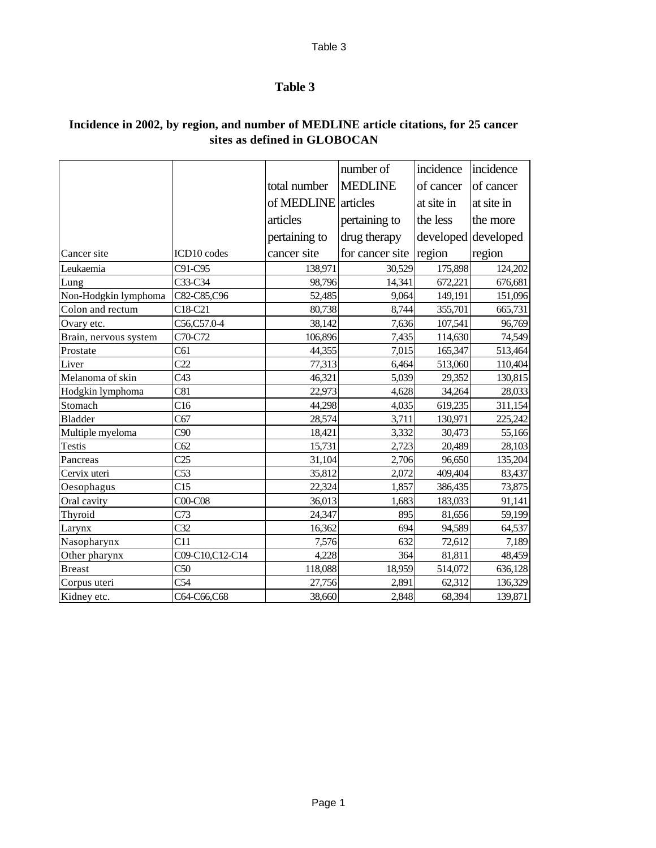### Table 3

## **Table 3**

|                       |                 |               | number of       | incidence           | incidence  |
|-----------------------|-----------------|---------------|-----------------|---------------------|------------|
|                       |                 | total number  | <b>MEDLINE</b>  | of cancer           | of cancer  |
|                       |                 | of MEDLINE    | articles        | at site in          | at site in |
|                       |                 | articles      | pertaining to   | the less            | the more   |
|                       |                 | pertaining to | drug therapy    | developed developed |            |
| Cancer site           | ICD10 codes     | cancer site   | for cancer site | region              | region     |
| Leukaemia             | C91-C95         | 138,971       | 30,529          | 175,898             | 124,202    |
| Lung                  | C33-C34         | 98,796        | 14,341          | 672,221             | 676,681    |
| Non-Hodgkin lymphoma  | C82-C85,C96     | 52,485        | 9,064           | 149,191             | 151,096    |
| Colon and rectum      | C18-C21         | 80,738        | 8,744           | 355,701             | 665,731    |
| Ovary etc.            | C56,C57.0-4     | 38,142        | 7,636           | 107,541             | 96,769     |
| Brain, nervous system | C70-C72         | 106,896       | 7,435           | 114,630             | 74,549     |
| Prostate              | C61             | 44,355        | 7,015           | 165,347             | 513,464    |
| Liver                 | C <sub>22</sub> | 77,313        | 6,464           | 513,060             | 110,404    |
| Melanoma of skin      | C <sub>43</sub> | 46,321        | 5,039           | 29.352              | 130,815    |
| Hodgkin lymphoma      | C81             | 22,973        | 4,628           | 34,264              | 28,033     |
| Stomach               | C16             | 44,298        | 4,035           | 619,235             | 311,154    |
| Bladder               | C67             | 28,574        | 3,711           | 130,971             | 225,242    |
| Multiple myeloma      | C90             | 18,421        | 3,332           | 30,473              | 55,166     |
| <b>Testis</b>         | C62             | 15,731        | 2,723           | 20,489              | 28,103     |
| Pancreas              | C <sub>25</sub> | 31,104        | 2,706           | 96,650              | 135,204    |
| Cervix uteri          | C <sub>53</sub> | 35,812        | 2,072           | 409,404             | 83,437     |
| Oesophagus            | C15             | 22,324        | 1,857           | 386,435             | 73,875     |
| Oral cavity           | $COO-C08$       | 36,013        | 1,683           | 183,033             | 91,141     |
| Thyroid               | C73             | 24,347        | 895             | 81,656              | 59,199     |
| Larynx                | C <sub>32</sub> | 16,362        | 694             | 94,589              | 64,537     |
| Nasopharynx           | C11             | 7,576         | 632             | 72,612              | 7,189      |
| Other pharynx         | C09-C10,C12-C14 | 4,228         | 364             | 81,811              | 48,459     |
| <b>Breast</b>         | C50             | 118,088       | 18,959          | 514,072             | 636,128    |
| Corpus uteri          | C <sub>54</sub> | 27,756        | 2,891           | 62.312              | 136,329    |
| Kidney etc.           | C64-C66,C68     | 38,660        | 2,848           | 68,394              | 139,871    |

### **Incidence in 2002, by region, and number of MEDLINE article citations, for 25 cancer sites as defined in GLOBOCAN**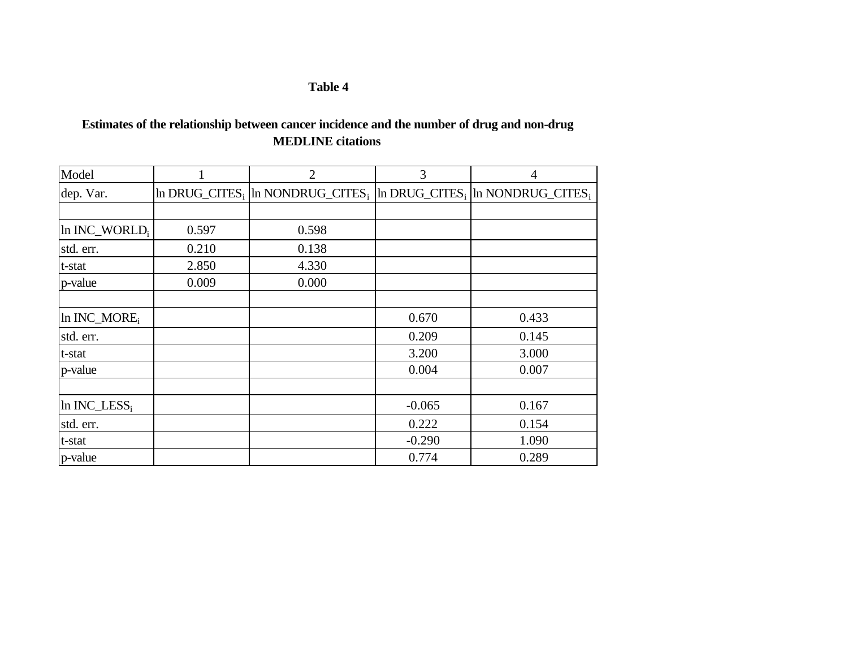## **Table 4**

## **Estimates of the relationship between cancer incidence and the number of drug and non-drug MEDLINE citations**

| Model                      |       | $\overline{2}$                                                                                                                | 3        | $\overline{4}$ |
|----------------------------|-------|-------------------------------------------------------------------------------------------------------------------------------|----------|----------------|
| dep. Var.                  |       | $\ln$ DRUG_CITES <sub>i</sub> $\ln$ NONDRUG_CITES <sub>i</sub> $\ln$ DRUG_CITES <sub>i</sub> $\ln$ NONDRUG_CITES <sub>i</sub> |          |                |
|                            |       |                                                                                                                               |          |                |
| In INC_WORLD;              | 0.597 | 0.598                                                                                                                         |          |                |
| std. err.                  | 0.210 | 0.138                                                                                                                         |          |                |
| t-stat                     | 2.850 | 4.330                                                                                                                         |          |                |
| p-value                    | 0.009 | 0.000                                                                                                                         |          |                |
|                            |       |                                                                                                                               |          |                |
| $ln$ INC_MORE <sub>i</sub> |       |                                                                                                                               | 0.670    | 0.433          |
| std. err.                  |       |                                                                                                                               | 0.209    | 0.145          |
| t-stat                     |       |                                                                                                                               | 3.200    | 3.000          |
| p-value                    |       |                                                                                                                               | 0.004    | 0.007          |
|                            |       |                                                                                                                               |          |                |
| $ln$ INC_LESS <sub>i</sub> |       |                                                                                                                               | $-0.065$ | 0.167          |
| std. err.                  |       |                                                                                                                               | 0.222    | 0.154          |
| t-stat                     |       |                                                                                                                               | $-0.290$ | 1.090          |
| p-value                    |       |                                                                                                                               | 0.774    | 0.289          |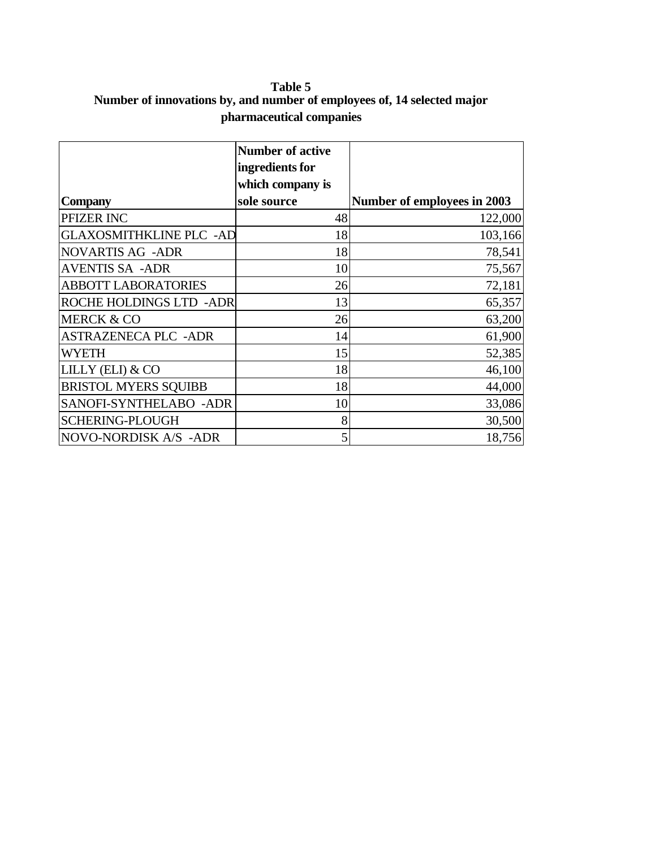### **Table 5 Number of innovations by, and number of employees of, 14 selected major pharmaceutical companies**

|                                | <b>Number of active</b> |                             |
|--------------------------------|-------------------------|-----------------------------|
|                                | ingredients for         |                             |
|                                | which company is        |                             |
| <b>Company</b>                 | sole source             | Number of employees in 2003 |
| PFIZER INC                     | 48                      | 122,000                     |
| <b>GLAXOSMITHKLINE PLC -AD</b> | 18                      | 103,166                     |
| <b>NOVARTIS AG -ADR</b>        | 18                      | 78,541                      |
| <b>AVENTIS SA - ADR</b>        | 10                      | 75,567                      |
| <b>ABBOTT LABORATORIES</b>     | 26                      | 72,181                      |
| ROCHE HOLDINGS LTD -ADR        | 13                      | 65,357                      |
| <b>MERCK &amp; CO</b>          | 26                      | 63,200                      |
| <b>ASTRAZENECA PLC -ADR</b>    | 14                      | 61,900                      |
| <b>WYETH</b>                   | 15                      | 52,385                      |
| LILLY (ELI) & CO               | 18                      | 46,100                      |
| <b>BRISTOL MYERS SQUIBB</b>    | 18                      | 44,000                      |
| SANOFI-SYNTHELABO - ADR        | 10                      | 33,086                      |
| <b>SCHERING-PLOUGH</b>         | 8                       | 30,500                      |
| NOVO-NORDISK A/S -ADR          | 5                       | 18,756                      |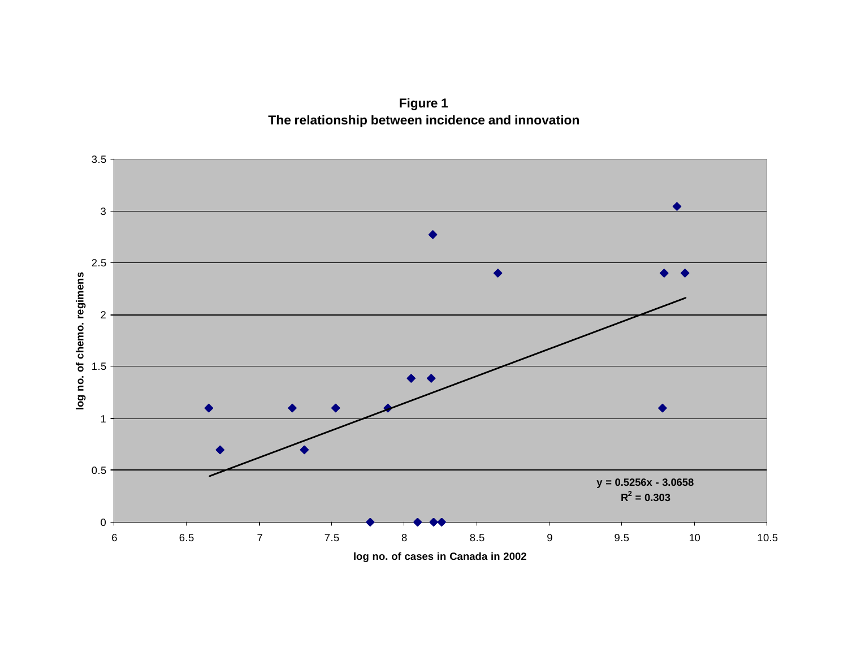**Figure 1 The relationship between incidence and innovation**